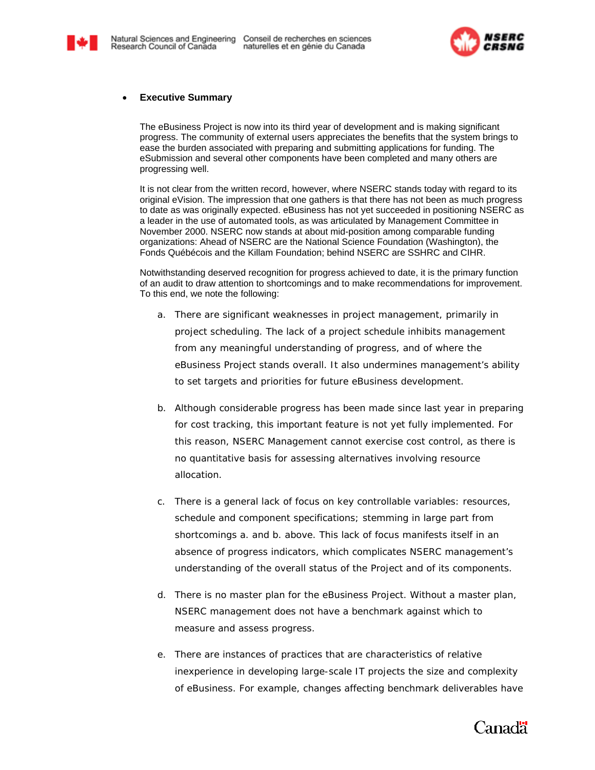



#### • **Executive Summary**

The eBusiness Project is now into its third year of development and is making significant progress. The community of external users appreciates the benefits that the system brings to ease the burden associated with preparing and submitting applications for funding. The eSubmission and several other components have been completed and many others are progressing well.

It is not clear from the written record, however, where NSERC stands today with regard to its original eVision. The impression that one gathers is that there has not been as much progress to date as was originally expected. eBusiness has not yet succeeded in positioning NSERC as a leader in the use of automated tools, as was articulated by Management Committee in November 2000. NSERC now stands at about mid-position among comparable funding organizations: Ahead of NSERC are the National Science Foundation (Washington), the Fonds Québécois and the Killam Foundation; behind NSERC are SSHRC and CIHR.

Notwithstanding deserved recognition for progress achieved to date, it is the primary function of an audit to draw attention to shortcomings and to make recommendations for improvement. To this end, we note the following:

- a. There are significant weaknesses in project management, primarily in project scheduling. The lack of a project schedule inhibits management from any meaningful understanding of progress, and of where the eBusiness Project stands overall. It also undermines management's ability to set targets and priorities for future eBusiness development.
- b. Although considerable progress has been made since last year in preparing for cost tracking, this important feature is not yet fully implemented. For this reason, NSERC Management cannot exercise cost control, as there is no quantitative basis for assessing alternatives involving resource allocation.
- c. There is a general lack of focus on key controllable variables: *resources, schedule and component specifications*; stemming in large part from shortcomings a. and b. above. This lack of focus manifests itself in an absence of progress indicators, which complicates NSERC management's understanding of the overall status of the Project and of its components.
- d. There is no master plan for the eBusiness Project. Without a master plan, NSERC management does not have a benchmark against which to measure and assess progress.
- e. There are instances of practices that are characteristics of relative inexperience in developing large-scale IT projects the size and complexity of eBusiness. For example, changes affecting benchmark deliverables have

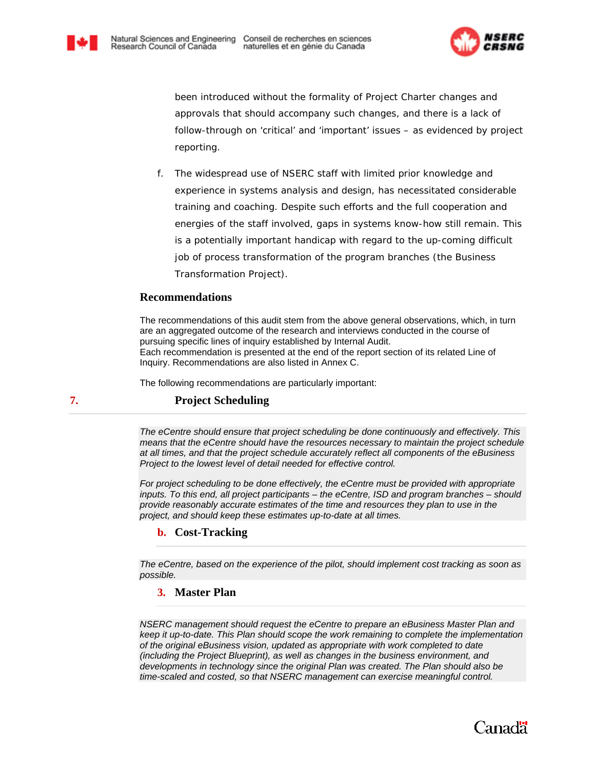

been introduced without the formality of Project Charter changes and approvals that should accompany such changes, and there is a lack of follow-through on 'critical' and 'important' issues – as evidenced by project reporting.

f. The widespread use of NSERC staff with limited prior knowledge and experience in systems analysis and design, has necessitated considerable training and coaching. Despite such efforts and the full cooperation and energies of the staff involved, gaps in systems know-how still remain. This is a potentially important handicap with regard to the up-coming difficult job of process transformation of the program branches (the Business Transformation Project).

### **Recommendations**

The recommendations of this audit stem from the above general observations, which, in turn are an aggregated outcome of the research and interviews conducted in the course of pursuing specific lines of inquiry established by Internal Audit. Each recommendation is presented at the end of the report section of its related Line of Inquiry. Recommendations are also listed in Annex C.

The following recommendations are particularly important:

# **7. Project Scheduling**

*The eCentre should ensure that project scheduling be done continuously and effectively. This means that the eCentre should have the resources necessary to maintain the project schedule at all times, and that the project schedule accurately reflect all components of the eBusiness Project to the lowest level of detail needed for effective control.* 

*For project scheduling to be done effectively, the eCentre must be provided with appropriate inputs. To this end, all project participants – the eCentre, ISD and program branches – should provide reasonably accurate estimates of the time and resources they plan to use in the project, and should keep these estimates up-to-date at all times.* 

### **b. Cost-Tracking**

*The eCentre, based on the experience of the pilot, should implement cost tracking as soon as possible.* 

# **3. Master Plan**

*NSERC management should request the eCentre to prepare an eBusiness Master Plan and keep it up-to-date. This Plan should scope the work remaining to complete the implementation of the original eBusiness vision, updated as appropriate with work completed to date (including the Project Blueprint), as well as changes in the business environment, and developments in technology since the original Plan was created. The Plan should also be time-scaled and costed, so that NSERC management can exercise meaningful control.*